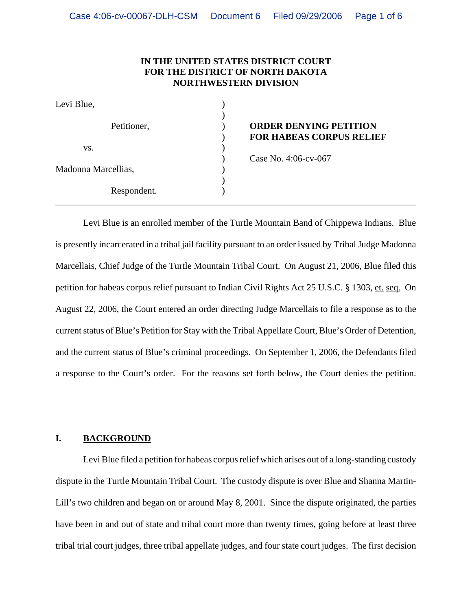### **IN THE UNITED STATES DISTRICT COURT FOR THE DISTRICT OF NORTH DAKOTA NORTHWESTERN DIVISION**

| Levi Blue,          |                                                                  |
|---------------------|------------------------------------------------------------------|
| Petitioner,         | <b>ORDER DENYING PETITION</b><br><b>FOR HABEAS CORPUS RELIEF</b> |
| VS.                 |                                                                  |
| Madonna Marcellias, | Case No. 4:06-cv-067                                             |
|                     |                                                                  |
|                     |                                                                  |
| Respondent.         |                                                                  |

# **ORDER DENYING PETITION** ) **FOR HABEAS CORPUS RELIEF**

Levi Blue is an enrolled member of the Turtle Mountain Band of Chippewa Indians. Blue is presently incarcerated in a tribal jail facility pursuant to an order issued by Tribal Judge Madonna Marcellais, Chief Judge of the Turtle Mountain Tribal Court. On August 21, 2006, Blue filed this petition for habeas corpus relief pursuant to Indian Civil Rights Act 25 U.S.C. § 1303, et. seq. On August 22, 2006, the Court entered an order directing Judge Marcellais to file a response as to the current status of Blue's Petition for Stay with the Tribal Appellate Court, Blue's Order of Detention, and the current status of Blue's criminal proceedings. On September 1, 2006, the Defendants filed a response to the Court's order. For the reasons set forth below, the Court denies the petition.

# **I. BACKGROUND**

Levi Blue filed a petition for habeas corpus relief which arises out of a long-standing custody dispute in the Turtle Mountain Tribal Court. The custody dispute is over Blue and Shanna Martin-Lill's two children and began on or around May 8, 2001. Since the dispute originated, the parties have been in and out of state and tribal court more than twenty times, going before at least three tribal trial court judges, three tribal appellate judges, and four state court judges. The first decision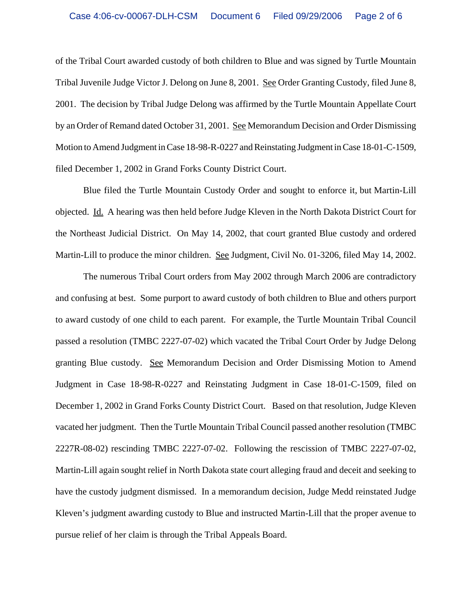of the Tribal Court awarded custody of both children to Blue and was signed by Turtle Mountain Tribal Juvenile Judge Victor J. Delong on June 8, 2001. See Order Granting Custody, filed June 8, 2001. The decision by Tribal Judge Delong was affirmed by the Turtle Mountain Appellate Court by an Order of Remand dated October 31, 2001. See Memorandum Decision and Order Dismissing Motion to Amend Judgment in Case 18-98-R-0227 and Reinstating Judgment in Case 18-01-C-1509, filed December 1, 2002 in Grand Forks County District Court.

 Blue filed the Turtle Mountain Custody Order and sought to enforce it, but Martin-Lill objected. Id. A hearing was then held before Judge Kleven in the North Dakota District Court for the Northeast Judicial District. On May 14, 2002, that court granted Blue custody and ordered Martin-Lill to produce the minor children. See Judgment, Civil No. 01-3206, filed May 14, 2002.

The numerous Tribal Court orders from May 2002 through March 2006 are contradictory and confusing at best. Some purport to award custody of both children to Blue and others purport to award custody of one child to each parent. For example, the Turtle Mountain Tribal Council passed a resolution (TMBC 2227-07-02) which vacated the Tribal Court Order by Judge Delong granting Blue custody. See Memorandum Decision and Order Dismissing Motion to Amend Judgment in Case 18-98-R-0227 and Reinstating Judgment in Case 18-01-C-1509, filed on December 1, 2002 in Grand Forks County District Court. Based on that resolution, Judge Kleven vacated her judgment. Then the Turtle Mountain Tribal Council passed another resolution (TMBC 2227R-08-02) rescinding TMBC 2227-07-02. Following the rescission of TMBC 2227-07-02, Martin-Lill again sought relief in North Dakota state court alleging fraud and deceit and seeking to have the custody judgment dismissed. In a memorandum decision, Judge Medd reinstated Judge Kleven's judgment awarding custody to Blue and instructed Martin-Lill that the proper avenue to pursue relief of her claim is through the Tribal Appeals Board.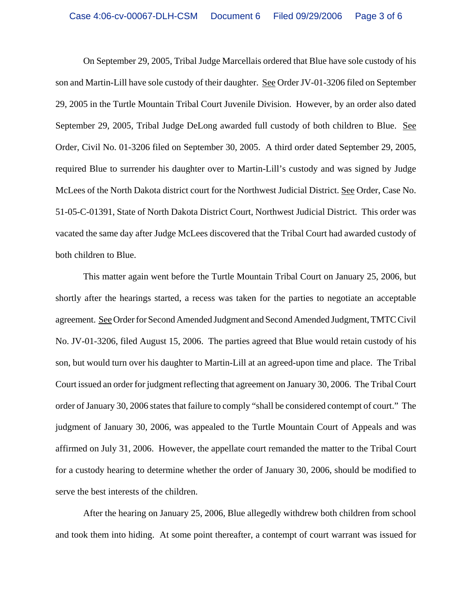On September 29, 2005, Tribal Judge Marcellais ordered that Blue have sole custody of his son and Martin-Lill have sole custody of their daughter. See Order JV-01-3206 filed on September 29, 2005 in the Turtle Mountain Tribal Court Juvenile Division. However, by an order also dated September 29, 2005, Tribal Judge DeLong awarded full custody of both children to Blue. See Order, Civil No. 01-3206 filed on September 30, 2005. A third order dated September 29, 2005, required Blue to surrender his daughter over to Martin-Lill's custody and was signed by Judge McLees of the North Dakota district court for the Northwest Judicial District. See Order, Case No. 51-05-C-01391, State of North Dakota District Court, Northwest Judicial District. This order was vacated the same day after Judge McLees discovered that the Tribal Court had awarded custody of both children to Blue.

This matter again went before the Turtle Mountain Tribal Court on January 25, 2006, but shortly after the hearings started, a recess was taken for the parties to negotiate an acceptable agreement. See Order for Second Amended Judgment and Second Amended Judgment, TMTC Civil No. JV-01-3206, filed August 15, 2006. The parties agreed that Blue would retain custody of his son, but would turn over his daughter to Martin-Lill at an agreed-upon time and place. The Tribal Court issued an order for judgment reflecting that agreement on January 30, 2006. The Tribal Court order of January 30, 2006 states that failure to comply "shall be considered contempt of court." The judgment of January 30, 2006, was appealed to the Turtle Mountain Court of Appeals and was affirmed on July 31, 2006. However, the appellate court remanded the matter to the Tribal Court for a custody hearing to determine whether the order of January 30, 2006, should be modified to serve the best interests of the children.

After the hearing on January 25, 2006, Blue allegedly withdrew both children from school and took them into hiding. At some point thereafter, a contempt of court warrant was issued for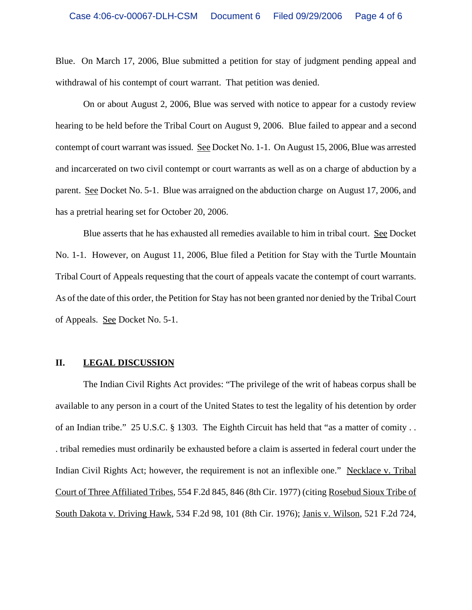Blue. On March 17, 2006, Blue submitted a petition for stay of judgment pending appeal and withdrawal of his contempt of court warrant. That petition was denied.

On or about August 2, 2006, Blue was served with notice to appear for a custody review hearing to be held before the Tribal Court on August 9, 2006. Blue failed to appear and a second contempt of court warrant was issued. See Docket No. 1-1. On August 15, 2006, Blue was arrested and incarcerated on two civil contempt or court warrants as well as on a charge of abduction by a parent. See Docket No. 5-1. Blue was arraigned on the abduction charge on August 17, 2006, and has a pretrial hearing set for October 20, 2006.

Blue asserts that he has exhausted all remedies available to him in tribal court. See Docket No. 1-1. However, on August 11, 2006, Blue filed a Petition for Stay with the Turtle Mountain Tribal Court of Appeals requesting that the court of appeals vacate the contempt of court warrants. As of the date of this order, the Petition for Stay has not been granted nor denied by the Tribal Court of Appeals. See Docket No. 5-1.

#### **II. LEGAL DISCUSSION**

The Indian Civil Rights Act provides: "The privilege of the writ of habeas corpus shall be available to any person in a court of the United States to test the legality of his detention by order of an Indian tribe." 25 U.S.C. § 1303. The Eighth Circuit has held that "as a matter of comity . . . tribal remedies must ordinarily be exhausted before a claim is asserted in federal court under the Indian Civil Rights Act; however, the requirement is not an inflexible one." Necklace v. Tribal Court of Three Affiliated Tribes, 554 F.2d 845, 846 (8th Cir. 1977) (citing Rosebud Sioux Tribe of South Dakota v. Driving Hawk, 534 F.2d 98, 101 (8th Cir. 1976); Janis v. Wilson, 521 F.2d 724,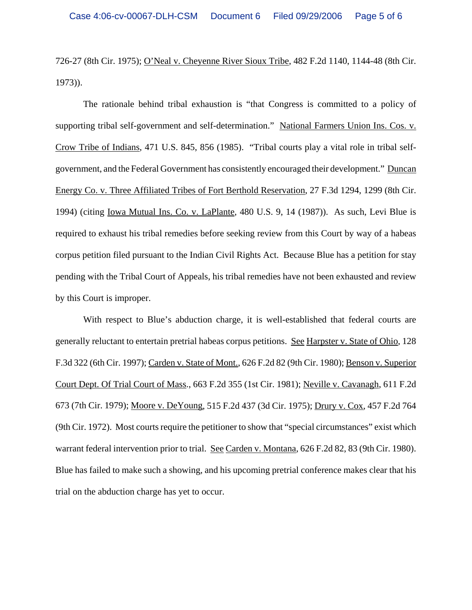726-27 (8th Cir. 1975); O'Neal v. Cheyenne River Sioux Tribe, 482 F.2d 1140, 1144-48 (8th Cir. 1973)).

The rationale behind tribal exhaustion is "that Congress is committed to a policy of supporting tribal self-government and self-determination." National Farmers Union Ins. Cos. v. Crow Tribe of Indians, 471 U.S. 845, 856 (1985). "Tribal courts play a vital role in tribal selfgovernment, and the Federal Government has consistently encouraged their development." Duncan Energy Co. v. Three Affiliated Tribes of Fort Berthold Reservation, 27 F.3d 1294, 1299 (8th Cir. 1994) (citing Iowa Mutual Ins. Co. v. LaPlante, 480 U.S. 9, 14 (1987)). As such, Levi Blue is required to exhaust his tribal remedies before seeking review from this Court by way of a habeas corpus petition filed pursuant to the Indian Civil Rights Act. Because Blue has a petition for stay pending with the Tribal Court of Appeals, his tribal remedies have not been exhausted and review by this Court is improper.

With respect to Blue's abduction charge, it is well-established that federal courts are generally reluctant to entertain pretrial habeas corpus petitions. See Harpster v. State of Ohio, 128 F.3d 322 (6th Cir. 1997); Carden v. State of Mont., 626 F.2d 82 (9th Cir. 1980); Benson v. Superior Court Dept. Of Trial Court of Mass., 663 F.2d 355 (1st Cir. 1981); Neville v. Cavanagh, 611 F.2d 673 (7th Cir. 1979); Moore v. DeYoung, 515 F.2d 437 (3d Cir. 1975); Drury v. Cox, 457 F.2d 764 (9th Cir. 1972). Most courts require the petitioner to show that "special circumstances" exist which warrant federal intervention prior to trial. See Carden v. Montana, 626 F.2d 82, 83 (9th Cir. 1980). Blue has failed to make such a showing, and his upcoming pretrial conference makes clear that his trial on the abduction charge has yet to occur.